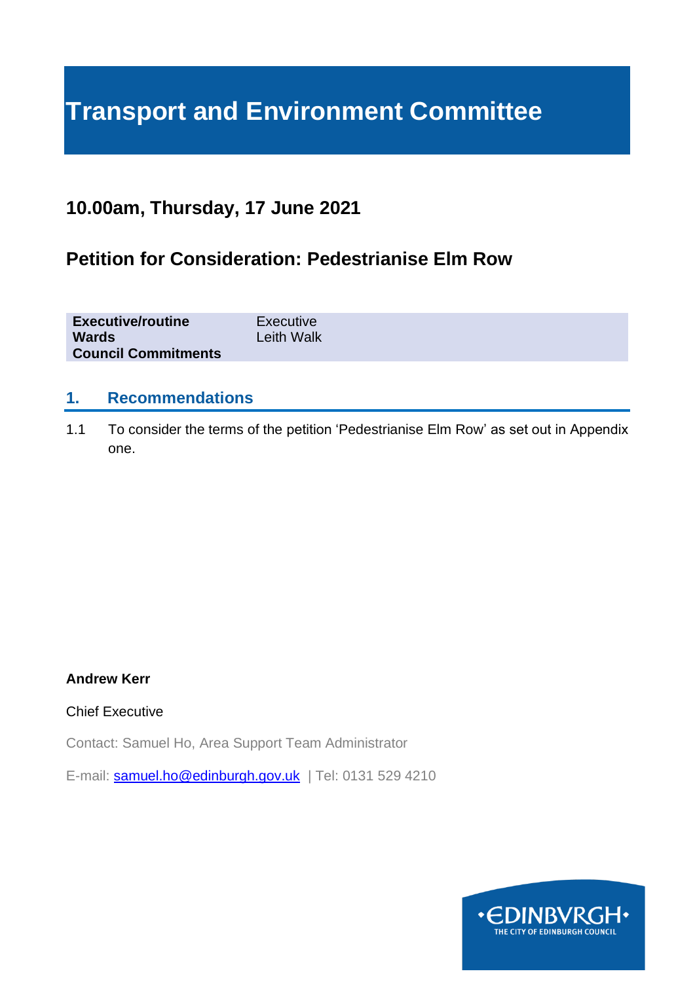# **Transport and Environment Committee**

## **10.00am, Thursday, 17 June 2021**

## **Petition for Consideration: Pedestrianise Elm Row**

| <b>Executive/routine</b>   | Executive         |
|----------------------------|-------------------|
| <b>Wards</b>               | <b>Leith Walk</b> |
| <b>Council Commitments</b> |                   |

#### **1. Recommendations**

1.1 To consider the terms of the petition 'Pedestrianise Elm Row' as set out in Appendix one.

#### **Andrew Kerr**

#### Chief Executive

Contact: Samuel Ho, Area Support Team Administrator

E-mail: [samuel.ho@edinburgh.gov.uk](mailto:samuel.ho@edinburgh.gov.uk) | Tel: 0131 529 4210

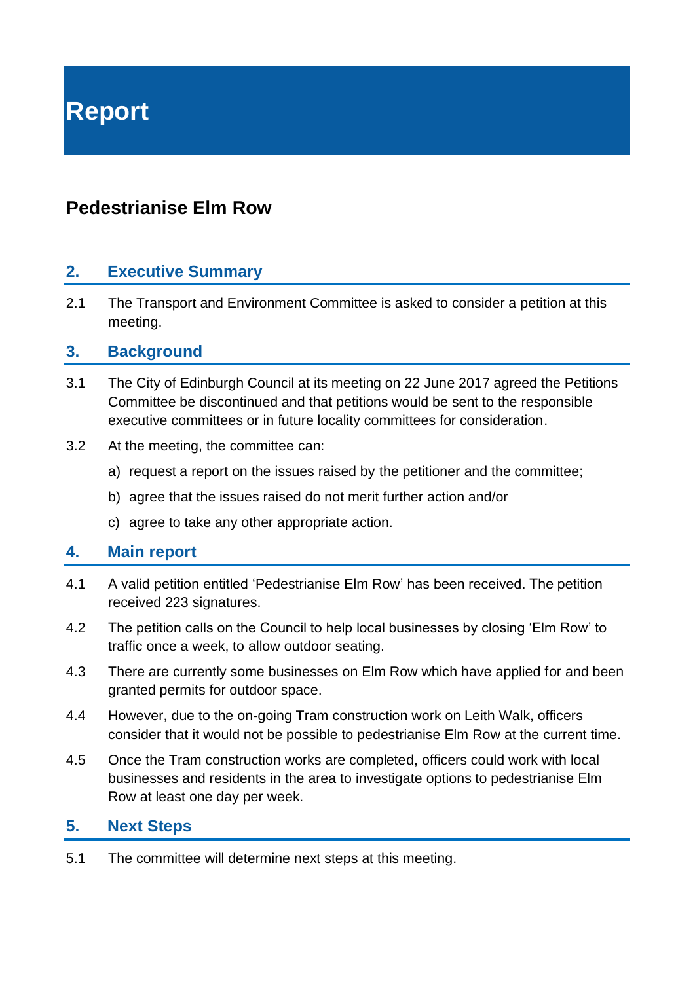# **Report**

## **Pedestrianise Elm Row**

### **2. Executive Summary**

2.1 The Transport and Environment Committee is asked to consider a petition at this meeting.

#### **3. Background**

- 3.1 The City of Edinburgh Council at its meeting on 22 June 2017 agreed the Petitions Committee be discontinued and that petitions would be sent to the responsible executive committees or in future locality committees for consideration.
- 3.2 At the meeting, the committee can:
	- a) request a report on the issues raised by the petitioner and the committee;
	- b) agree that the issues raised do not merit further action and/or
	- c) agree to take any other appropriate action.

#### **4. Main report**

- 4.1 A valid petition entitled 'Pedestrianise Elm Row' has been received. The petition received 223 signatures.
- 4.2 The petition calls on the Council to help local businesses by closing 'Elm Row' to traffic once a week, to allow outdoor seating.
- 4.3 There are currently some businesses on Elm Row which have applied for and been granted permits for outdoor space.
- 4.4 However, due to the on-going Tram construction work on Leith Walk, officers consider that it would not be possible to pedestrianise Elm Row at the current time.
- 4.5 Once the Tram construction works are completed, officers could work with local businesses and residents in the area to investigate options to pedestrianise Elm Row at least one day per week.

#### **5. Next Steps**

5.1 The committee will determine next steps at this meeting.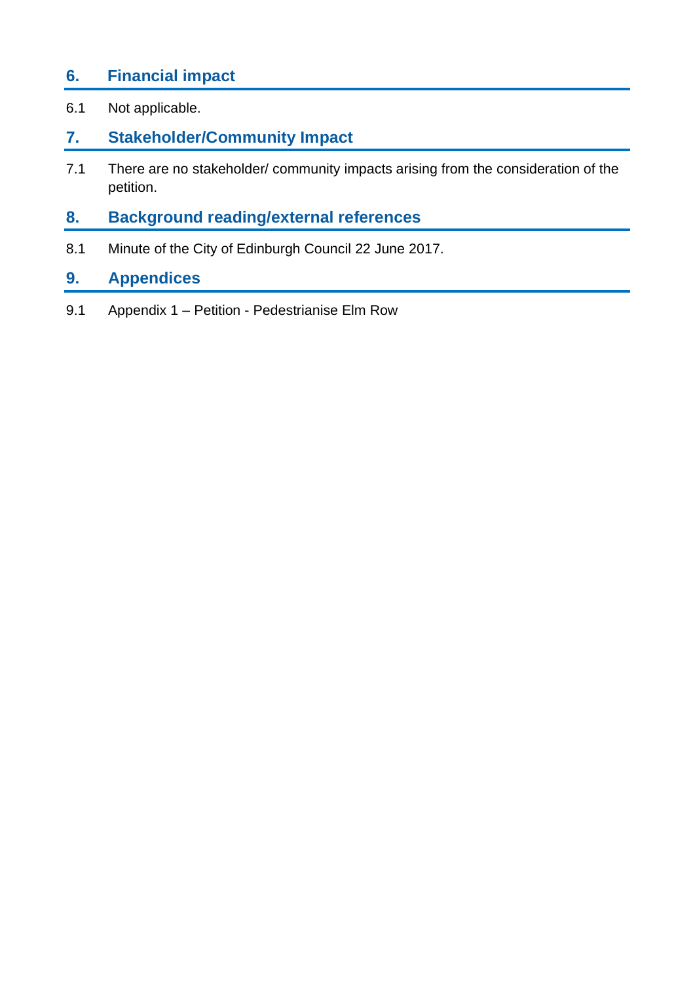## **6. Financial impact**

6.1 Not applicable.

## **7. Stakeholder/Community Impact**

7.1 There are no stakeholder/ community impacts arising from the consideration of the petition.

# **8. Background reading/external references**

8.1 Minute of the City of Edinburgh Council 22 June 2017.

## **9. Appendices**

9.1 Appendix 1 – Petition - Pedestrianise Elm Row